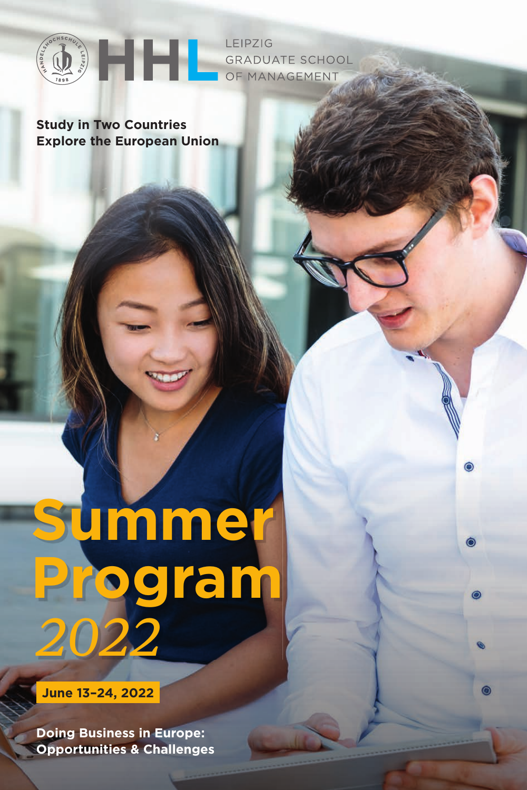

LEIPZIG **GRADUATE SCHOOL** OF MANAGEMENT

۵

**Study in Two Countries Explore the European Union**

# **Summer Program**  2022

**June 13–24, 2022**

**Doing Business in Europe: Opportunities & Challenges**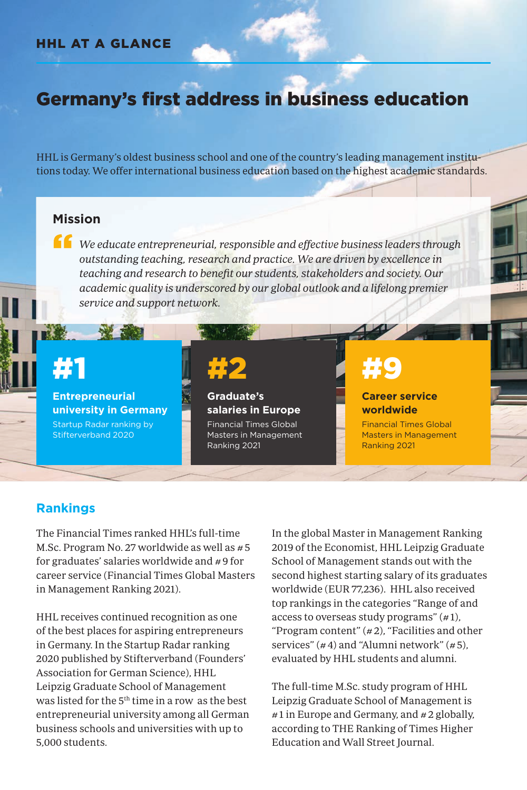#### HHL AT A GLANCE

### Germany's first address in business education

HHL is Germany's oldest business school and one of the country's leading management institutions today. We offer international business education based on the highest academic standards.

#### **Mission**

If we educate entrepreneurial, responsible and effective business leaders through outstanding teaching, research and practice. We are driven by excellence in teaching and research to benefit our students, stakeholders and society. Our academic quality is underscored by our global outlook and a lifelong premier service and support network.

# #1

**Entrepreneurial university in Germany** Startup Radar ranking by Stifterverband 2020

# #2

**Graduate's salaries in Europe** Financial Times Global Masters in Management Ranking 2021

# #9

#### **Career service worldwide**

Financial Times Global Masters in Management Ranking 2021

#### **Rankings**

The Financial Times ranked HHL's full-time M.Sc. Program No. 27 worldwide as well as #5 for graduates' salaries worldwide and # 9 for career service (Financial Times Global Masters in Management Ranking 2021).

HHL receives continued recognition as one of the best places for aspiring entrepreneurs in Germany. In the Startup Radar ranking 2020 published by Stifterverband (Founders' Association for German Science), HHL Leipzig Graduate School of Management was listed for the 5<sup>th</sup> time in a row as the best entrepreneurial university among all German business schools and universities with up to 5,000 students.

In the global Master in Management Ranking 2019 of the Economist, HHL Leipzig Graduate School of Management stands out with the second highest starting salary of its graduates worldwide (EUR 77,236). HHL also received top rankings in the categories "Range of and access to overseas study programs"  $(\# 1)$ , " Program content"  $(\# 2)$ , "Facilities and other services"  $(44)$  and "Alumni network"  $(45)$ , evaluated by HHL students and alumni.

The full-time M.Sc. study program of HHL Leipzig Graduate School of Management is #1 in Europe and Germany, and #2 globally, according to THE Ranking of Times Higher Education and Wall Street Journal.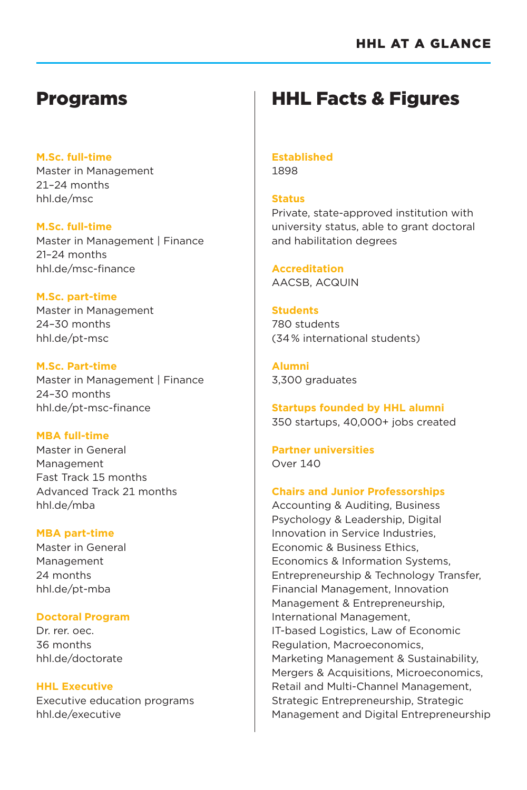### Programs

#### **M.Sc. full-time**

Master in Management 21–24 months hhl.de/msc

#### **M.Sc. full-time**

Master in Management | Finance 21–24 months hhl.de/msc-finance

#### **M.Sc. part-time**

Master in Management 24–30 months hhl.de/pt-msc

**M.Sc. Part-time** Master in Management | Finance 24–30 months hhl.de/pt-msc-finance

#### **MBA full-time**

Master in General Management Fast Track 15 months Advanced Track 21 months hhl.de/mba

#### **MBA part-time**

Master in General Management 24 months hhl.de/pt-mba

#### **Doctoral Program**

Dr. rer. oec. 36 months hhl.de/doctorate

#### **HHL Executive**

Executive education programs hhl.de/executive

# HHL Facts & Figures

#### **Established** 1898

**Status**

Private, state-approved institution with university status, able to grant doctoral and habilitation degrees

**Accreditation** AACSB, ACQUIN

#### **Students**

780 students (34 % international students)

**Alumni**  3,300 graduates

**Startups founded by HHL alumni** 350 startups, 40,000+ jobs created

**Partner universities**  Over 140

#### **Chairs and Junior Professorships**

Accounting & Auditing, Business Psychology & Leadership, Digital Innovation in Service Industries, Economic & Business Ethics, Economics & Information Systems, Entrepreneurship & Technology Transfer, Financial Management, Innovation Management & Entrepreneurship, International Management, IT-based Logistics, Law of Economic Regulation, Macroeconomics, Marketing Management & Sustainability, Mergers & Acquisitions, Microeconomics, Retail and Multi-Channel Management, Strategic Entrepreneurship, Strategic Management and Digital Entrepreneurship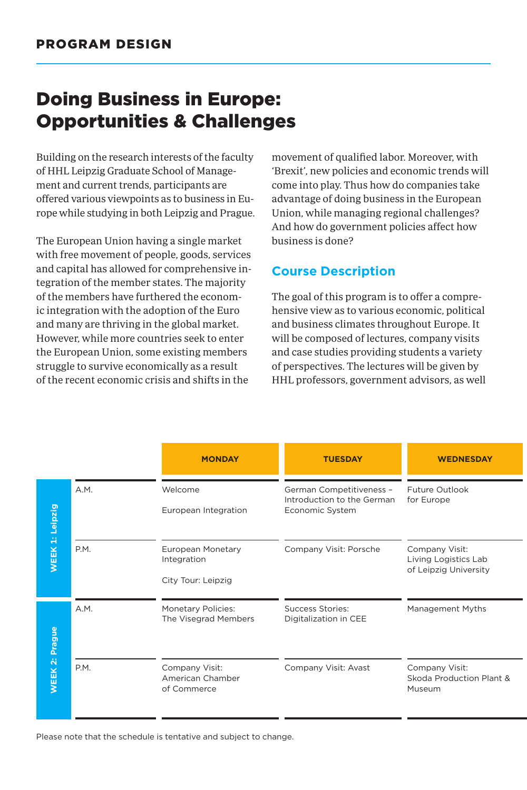# Doing Business in Europe: Opportunities & Challenges

Building on the research interests of the faculty of HHL Leipzig Graduate School of Management and current trends, participants are offered various viewpoints as to business in Europe while studying in both Leipzig and Prague.

The European Union having a single market with free movement of people, goods, services and capital has allowed for comprehensive integration of the member states. The majority of the members have furthered the economic integration with the adoption of the Euro and many are thriving in the global market. However, while more countries seek to enter the European Union, some existing members struggle to survive economically as a result of the recent economic crisis and shifts in the

movement of qualified labor. Moreover, with 'Brexit', new policies and economic trends will come into play. Thus how do companies take advantage of doing business in the European Union, while managing regional challenges? And how do government policies affect how business is done?

#### **Course Description**

The goal of this program is to offer a comprehensive view as to various economic, political and business climates throughout Europe. It will be composed of lectures, company visits and case studies providing students a variety of perspectives. The lectures will be given by HHL professors, government advisors, as well

|                                            | <b>MONDAY</b>                                          | <b>TUESDAY</b>                                                            | <b>WEDNESDAY</b>                                                |
|--------------------------------------------|--------------------------------------------------------|---------------------------------------------------------------------------|-----------------------------------------------------------------|
| A.M.<br>Leipzig                            | Welcome<br>European Integration                        | German Competitiveness -<br>Introduction to the German<br>Economic System | Future Outlook<br>for Europe                                    |
| $\ddot{H}$<br>P.M.<br><b>WEEK</b>          | European Monetary<br>Integration<br>City Tour: Leipzig | Company Visit: Porsche                                                    | Company Visit:<br>Living Logistics Lab<br>of Leipzig University |
| A.M.<br><b>Prague</b>                      | <b>Monetary Policies:</b><br>The Visegrad Members      | Success Stories:<br>Digitalization in CEE                                 | Management Myths                                                |
| $\ddot{\mathbf{N}}$<br>P.M.<br><b>WEEK</b> | Company Visit:<br>American Chamber<br>of Commerce      | Company Visit: Avast                                                      | Company Visit:<br>Skoda Production Plant &<br>Museum            |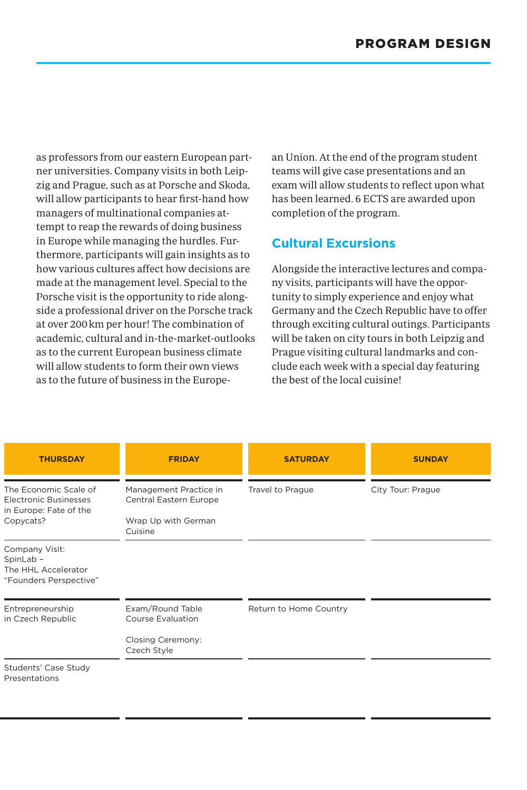as professors from our eastern European partner universities. Company visits in both Leipzig and Prague, such as at Porsche and Skoda, will allow participants to hear first-hand how managers of multinational companies attempt to reap the rewards of doing business in Europe while managing the hurdles. Furthermore, participants will gain insights as to how various cultures affect how decisions are made at the management level. Special to the Porsche visit is the opportunity to ride alongside a professional driver on the Porsche track at over 200km per hour! The combination of academic, cultural and in-the-market-outlooks as to the current European business climate will allow students to form their own views as to the future of business in the European Union. At the end of the program student teams will give case presentations and an exam will allow students to reflect upon what has been learned. 6 ECTS are awarded upon completion of the program.

#### **Cultural Excursions**

Alongside the interactive lectures and company visits, participants will have the opportunity to simply experience and enjoy what Germany and the Czech Republic have to offer through exciting cultural outings. Participants will be taken on city tours in both Leipzig and Prague visiting cultural landmarks and conclude each week with a special day featuring the best of the local cuisine!

| <b>THURSDAY</b>                                                                              | <b>FRIDAY</b>                                                                      | <b>SATURDAY</b>        | <b>SUNDAY</b>     |
|----------------------------------------------------------------------------------------------|------------------------------------------------------------------------------------|------------------------|-------------------|
| The Economic Scale of<br><b>Electronic Businesses</b><br>in Europe: Fate of the<br>Copycats? | Management Practice in<br>Central Eastern Europe<br>Wrap Up with German<br>Cuisine | Travel to Prague       | City Tour: Prague |
| Company Visit:<br>SpinLab -<br>The HHL Accelerator<br>"Founders Perspective"                 |                                                                                    |                        |                   |
| Entrepreneurship<br>in Czech Republic                                                        | Exam/Round Table<br><b>Course Evaluation</b><br>Closing Ceremony:<br>Czech Style   | Return to Home Country |                   |
| Students' Case Study<br>Presentations                                                        |                                                                                    |                        |                   |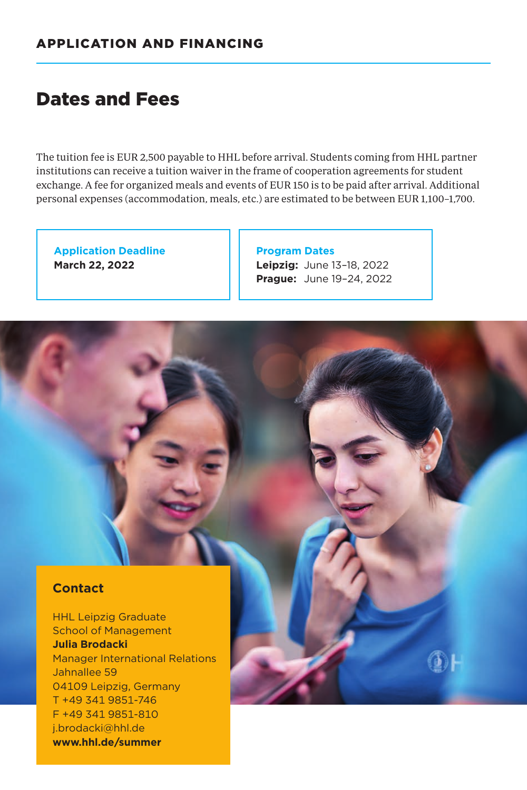## Dates and Fees

The tuition fee is EUR 2,500 payable to HHL before arrival. Students coming from HHL partner institutions can receive a tuition waiver in the frame of cooperation agreements for student exchange. A fee for organized meals and events of EUR 150 is to be paid after arrival. Additional personal expenses (accommodation, meals, etc.) are estimated to be between EUR 1,100–1,700.

**Application Deadline March 22, 2022**

**Program Dates Leipzig:** June 13–18, 2022 **Prague:** June 19–24, 2022

#### **Contact**

HHL Leipzig Graduate School of Management **Julia Brodacki** Manager International Relations Jahnallee 59 04109 Leipzig, Germany T +49 341 9851-746 F +49 341 9851-810 j.brodacki@hhl.de **www.hhl.de/summer**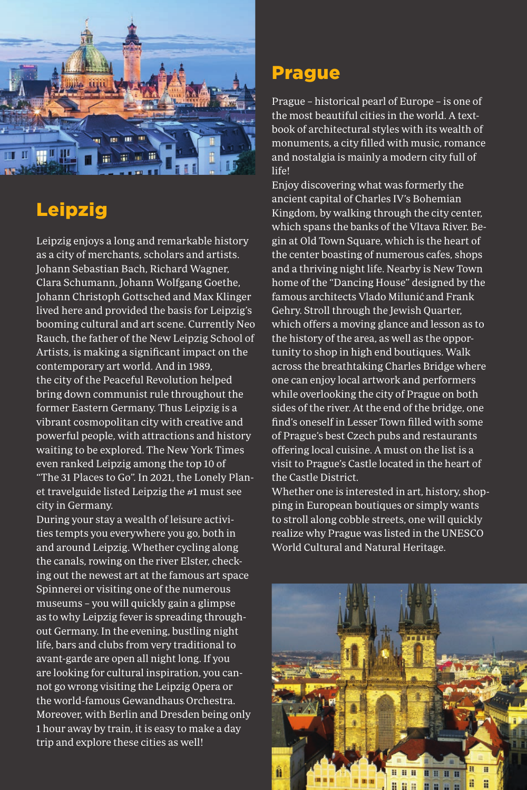

# Leipzig

Leipzig enjoys a long and remarkable history as a city of merchants, scholars and artists. Johann Sebastian Bach, Richard Wagner, Clara Schumann, Johann Wolfgang Goethe, Johann Christoph Gottsched and Max Klinger lived here and provided the basis for Leipzig's booming cultural and art scene. Currently Neo Rauch, the father of the New Leipzig School of Artists, is making a significant impact on the contemporary art world. And in 1989, the city of the Peaceful Revolution helped bring down communist rule throughout the former Eastern Germany. Thus Leipzig is a vibrant cosmopolitan city with creative and powerful people, with attractions and history waiting to be explored. The New York Times even ranked Leipzig among the top 10 of "The 31 Places to Go". In 2021, the Lonely Plan-

et travelguide listed Leipzig the #1 must see city in Germany.

During your stay a wealth of leisure activities tempts you everywhere you go, both in and around Leipzig. Whether cycling along the canals, rowing on the river Elster, checking out the newest art at the famous art space Spinnerei or visiting one of the numerous museums – you will quickly gain a glimpse as to why Leipzig fever is spreading throughout Germany. In the evening, bustling night life, bars and clubs from very traditional to avant-garde are open all night long. If you are looking for cultural inspiration, you cannot go wrong visiting the Leipzig Opera or the world-famous Gewandhaus Orchestra. Moreover, with Berlin and Dresden being only 1 hour away by train, it is easy to make a day trip and explore these cities as well!

### Prague

Prague – historical pearl of Europe – is one of the most beautiful cities in the world. A textbook of architectural styles with its wealth of monuments, a city filled with music, romance and nostalgia is mainly a modern city full of life!

Enjoy discovering what was formerly the ancient capital of Charles IV's Bohemian Kingdom, by walking through the city center, which spans the banks of the Vltava River. Begin at Old Town Square, which is the heart of the center boasting of numerous cafes, shops and a thriving night life. Nearby is New Town home of the "Dancing House" designed by the famous architects Vlado Milunić and Frank Gehry. Stroll through the Jewish Quarter, which offers a moving glance and lesson as to the history of the area, as well as the opportunity to shop in high end boutiques. Walk across the breathtaking Charles Bridge where one can enjoy local artwork and performers while overlooking the city of Prague on both sides of the river. At the end of the bridge, one find's oneself in Lesser Town filled with some of Prague's best Czech pubs and restaurants offering local cuisine. A must on the list is a visit to Prague's Castle located in the heart of the Castle District.

Whether one is interested in art, history, shopping in European boutiques or simply wants to stroll along cobble streets, one will quickly realize why Prague was listed in the UNESCO World Cultural and Natural Heritage.